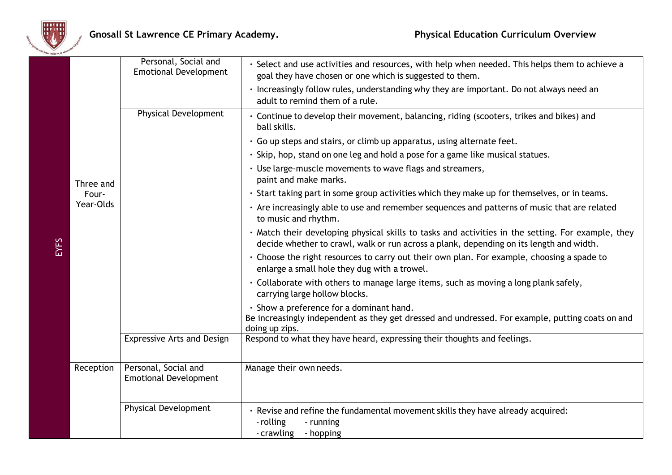

EYFS

|           | Personal, Social and<br><b>Emotional Development</b> | · Select and use activities and resources, with help when needed. This helps them to achieve a<br>goal they have chosen or one which is suggested to them.                                    |
|-----------|------------------------------------------------------|-----------------------------------------------------------------------------------------------------------------------------------------------------------------------------------------------|
|           |                                                      | · Increasingly follow rules, understanding why they are important. Do not always need an<br>adult to remind them of a rule.                                                                   |
|           | <b>Physical Development</b>                          | • Continue to develop their movement, balancing, riding (scooters, trikes and bikes) and<br>ball skills.                                                                                      |
|           |                                                      | · Go up steps and stairs, or climb up apparatus, using alternate feet.                                                                                                                        |
|           |                                                      | . Skip, hop, stand on one leg and hold a pose for a game like musical statues.                                                                                                                |
| Three and |                                                      | • Use large-muscle movements to wave flags and streamers,<br>paint and make marks.                                                                                                            |
| Four-     |                                                      | · Start taking part in some group activities which they make up for themselves, or in teams.                                                                                                  |
| Year-Olds |                                                      | • Are increasingly able to use and remember sequences and patterns of music that are related<br>to music and rhythm.                                                                          |
|           |                                                      | . Match their developing physical skills to tasks and activities in the setting. For example, they<br>decide whether to crawl, walk or run across a plank, depending on its length and width. |
|           |                                                      | • Choose the right resources to carry out their own plan. For example, choosing a spade to<br>enlarge a small hole they dug with a trowel.                                                    |
|           |                                                      | · Collaborate with others to manage large items, such as moving a long plank safely,<br>carrying large hollow blocks.                                                                         |
|           |                                                      | · Show a preference for a dominant hand.                                                                                                                                                      |
|           |                                                      | Be increasingly independent as they get dressed and undressed. For example, putting coats on and<br>doing up zips.                                                                            |
|           | <b>Expressive Arts and Design</b>                    | Respond to what they have heard, expressing their thoughts and feelings.                                                                                                                      |
| Reception | Personal, Social and<br><b>Emotional Development</b> | Manage their own needs.                                                                                                                                                                       |
|           | <b>Physical Development</b>                          | · Revise and refine the fundamental movement skills they have already acquired:<br>- rolling<br>- running<br>- crawling<br>- hopping                                                          |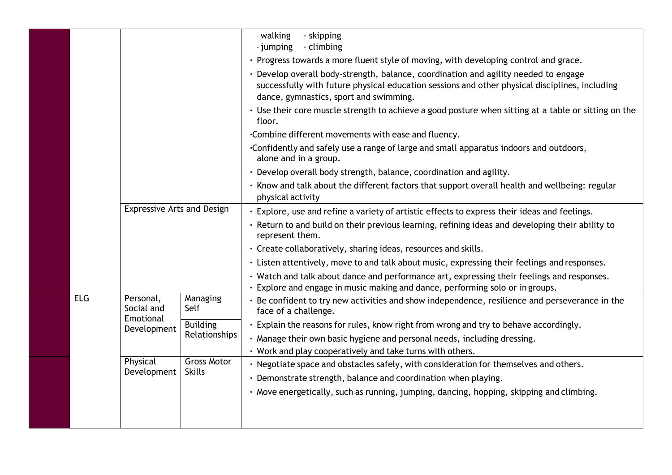|  |            |                                   |                                     | - walking<br>- skipping<br>- climbing<br>- jumping                                                                                                                        |  |  |  |  |
|--|------------|-----------------------------------|-------------------------------------|---------------------------------------------------------------------------------------------------------------------------------------------------------------------------|--|--|--|--|
|  |            |                                   |                                     | · Progress towards a more fluent style of moving, with developing control and grace.                                                                                      |  |  |  |  |
|  |            |                                   |                                     | • Develop overall body-strength, balance, coordination and agility needed to engage                                                                                       |  |  |  |  |
|  |            |                                   |                                     | successfully with future physical education sessions and other physical disciplines, including<br>dance, gymnastics, sport and swimming.                                  |  |  |  |  |
|  |            |                                   |                                     | • Use their core muscle strength to achieve a good posture when sitting at a table or sitting on the<br>floor.                                                            |  |  |  |  |
|  |            |                                   |                                     | .Combine different movements with ease and fluency.                                                                                                                       |  |  |  |  |
|  |            |                                   |                                     | •Confidently and safely use a range of large and small apparatus indoors and outdoors,<br>alone and in a group.                                                           |  |  |  |  |
|  |            |                                   |                                     | · Develop overall body strength, balance, coordination and agility.                                                                                                       |  |  |  |  |
|  |            |                                   |                                     | · Know and talk about the different factors that support overall health and wellbeing: regular<br>physical activity                                                       |  |  |  |  |
|  |            | <b>Expressive Arts and Design</b> |                                     | Explore, use and refine a variety of artistic effects to express their ideas and feelings.                                                                                |  |  |  |  |
|  |            |                                   |                                     | . Return to and build on their previous learning, refining ideas and developing their ability to<br>represent them.                                                       |  |  |  |  |
|  |            |                                   |                                     | · Create collaboratively, sharing ideas, resources and skills.                                                                                                            |  |  |  |  |
|  |            |                                   |                                     | · Listen attentively, move to and talk about music, expressing their feelings and responses.                                                                              |  |  |  |  |
|  |            |                                   |                                     | · Watch and talk about dance and performance art, expressing their feelings and responses.<br>Explore and engage in music making and dance, performing solo or in groups. |  |  |  |  |
|  | <b>ELG</b> | Personal,<br>Social and           | Managing<br>Self                    | Be confident to try new activities and show independence, resilience and perseverance in the<br>face of a challenge.                                                      |  |  |  |  |
|  |            | Emotional<br>Development          | <b>Building</b>                     | · Explain the reasons for rules, know right from wrong and try to behave accordingly.                                                                                     |  |  |  |  |
|  |            |                                   | Relationships                       | · Manage their own basic hygiene and personal needs, including dressing.                                                                                                  |  |  |  |  |
|  |            |                                   |                                     | • Work and play cooperatively and take turns with others.                                                                                                                 |  |  |  |  |
|  |            | Physical                          | <b>Gross Motor</b><br><b>Skills</b> | · Negotiate space and obstacles safely, with consideration for themselves and others.                                                                                     |  |  |  |  |
|  |            | Development                       |                                     | · Demonstrate strength, balance and coordination when playing.                                                                                                            |  |  |  |  |
|  |            |                                   |                                     | · Move energetically, such as running, jumping, dancing, hopping, skipping and climbing.                                                                                  |  |  |  |  |
|  |            |                                   |                                     |                                                                                                                                                                           |  |  |  |  |
|  |            |                                   |                                     |                                                                                                                                                                           |  |  |  |  |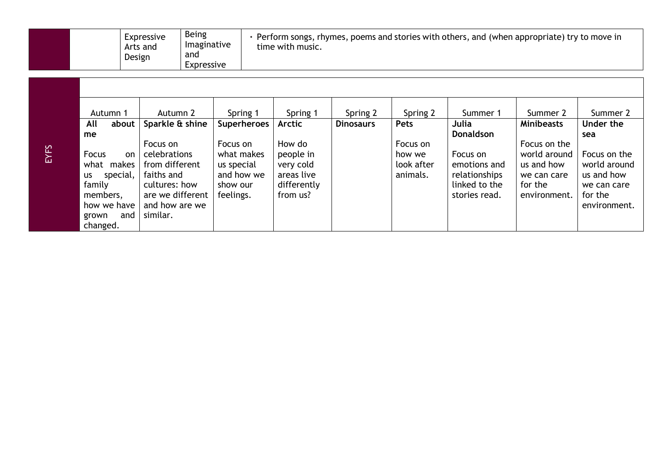| <b>Being</b><br>Perform songs, rhymes, poems and stories with others, and (when appropriate) try to move in<br>Expressive<br>Imaginative<br>time with music.<br>Arts and<br>and<br>Design<br>Expressive |  |
|---------------------------------------------------------------------------------------------------------------------------------------------------------------------------------------------------------|--|
|---------------------------------------------------------------------------------------------------------------------------------------------------------------------------------------------------------|--|

|      | Autumn 1                                                                                                            | Autumn 2                                                                                                                    | Spring 1                                                                    | Spring 1                                                                  | Spring 2         | Spring 2                                     | Summer 1                                                                    | Summer 2                                                                             | Summer 2                                                                             |
|------|---------------------------------------------------------------------------------------------------------------------|-----------------------------------------------------------------------------------------------------------------------------|-----------------------------------------------------------------------------|---------------------------------------------------------------------------|------------------|----------------------------------------------|-----------------------------------------------------------------------------|--------------------------------------------------------------------------------------|--------------------------------------------------------------------------------------|
|      | All<br>about '                                                                                                      | Sparkle & shine                                                                                                             | <b>Superheroes</b>                                                          | Arctic                                                                    | <b>Dinosaurs</b> | <b>Pets</b>                                  | <b>Julia</b>                                                                | <b>Minibeasts</b>                                                                    | Under the                                                                            |
|      | me                                                                                                                  |                                                                                                                             |                                                                             |                                                                           |                  |                                              | <b>Donaldson</b>                                                            |                                                                                      | sea                                                                                  |
| EYFS | Focus<br>on<br>what makes<br>special,<br><b>us</b><br>family<br>members,<br>how we have<br>and<br>grown<br>changed. | Focus on<br>celebrations<br>from different<br>faiths and<br>cultures: how<br>are we different<br>and how are we<br>similar. | Focus on<br>what makes<br>us special<br>and how we<br>show our<br>feelings. | How do<br>people in<br>very cold<br>areas live<br>differently<br>from us? |                  | Focus on<br>how we<br>look after<br>animals. | Focus on<br>emotions and<br>relationships<br>linked to the<br>stories read. | Focus on the<br>world around<br>us and how<br>we can care<br>for the<br>environment. | Focus on the<br>world around<br>us and how<br>we can care<br>for the<br>environment. |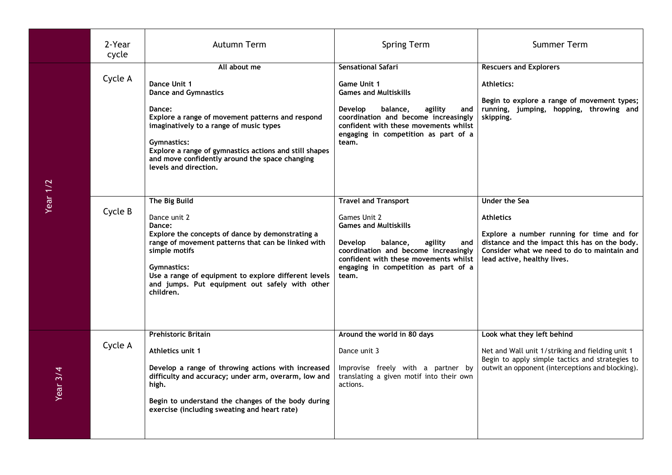|            | 2-Year<br>cycle | Autumn Term                                                                                                                                                                                                                                                                                                                     | <b>Spring Term</b>                                                                                                                                                                                                                                         | <b>Summer Term</b>                                                                                                                                                                                                   |  |
|------------|-----------------|---------------------------------------------------------------------------------------------------------------------------------------------------------------------------------------------------------------------------------------------------------------------------------------------------------------------------------|------------------------------------------------------------------------------------------------------------------------------------------------------------------------------------------------------------------------------------------------------------|----------------------------------------------------------------------------------------------------------------------------------------------------------------------------------------------------------------------|--|
|            | Cycle A         | All about me<br>Dance Unit 1<br><b>Dance and Gymnastics</b><br>Dance:<br>Explore a range of movement patterns and respond<br>imaginatively to a range of music types<br><b>Gymnastics:</b><br>Explore a range of gymnastics actions and still shapes<br>and move confidently around the space changing<br>levels and direction. | <b>Sensational Safari</b><br><b>Game Unit 1</b><br><b>Games and Multiskills</b><br>Develop<br>balance,<br>agility<br>and<br>coordination and become increasingly<br>confident with these movements whilst<br>engaging in competition as part of a<br>team. | <b>Rescuers and Explorers</b><br><b>Athletics:</b><br>Begin to explore a range of movement types;<br>running, jumping, hopping, throwing and<br>skipping.                                                            |  |
| Year $1/2$ | Cycle B         | The Big Build<br>Dance unit 2<br>Dance:<br>Explore the concepts of dance by demonstrating a<br>range of movement patterns that can be linked with<br>simple motifs<br>Gymnastics:<br>Use a range of equipment to explore different levels<br>and jumps. Put equipment out safely with other<br>children.                        | <b>Travel and Transport</b><br>Games Unit 2<br><b>Games and Multiskills</b><br>Develop<br>balance,<br>agility<br>and<br>coordination and become increasingly<br>confident with these movements whilst<br>engaging in competition as part of a<br>team.     | <b>Under the Sea</b><br><b>Athletics</b><br>Explore a number running for time and for<br>distance and the impact this has on the body.<br>Consider what we need to do to maintain and<br>lead active, healthy lives. |  |
| Year $3/4$ | Cycle A         | <b>Prehistoric Britain</b><br>Athletics unit 1<br>Develop a range of throwing actions with increased<br>difficulty and accuracy; under arm, overarm, low and<br>high.<br>Begin to understand the changes of the body during<br>exercise (including sweating and heart rate)                                                     | Around the world in 80 days<br>Dance unit 3<br>Improvise freely with a partner by<br>translating a given motif into their own<br>actions.                                                                                                                  | Look what they left behind<br>Net and Wall unit 1/striking and fielding unit 1<br>Begin to apply simple tactics and strategies to<br>outwit an opponent (interceptions and blocking).                                |  |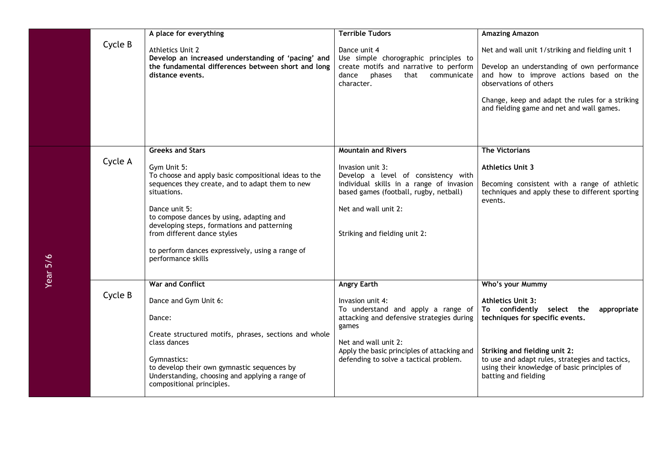|         | A place for everything                                                                                                                                                                                                                                                                                                                                     | <b>Terrible Tudors</b>                                                                                                                                                                                                        | <b>Amazing Amazon</b>                                                                                                                                                                                                                                                |
|---------|------------------------------------------------------------------------------------------------------------------------------------------------------------------------------------------------------------------------------------------------------------------------------------------------------------------------------------------------------------|-------------------------------------------------------------------------------------------------------------------------------------------------------------------------------------------------------------------------------|----------------------------------------------------------------------------------------------------------------------------------------------------------------------------------------------------------------------------------------------------------------------|
| Cycle B | <b>Athletics Unit 2</b><br>Develop an increased understanding of 'pacing' and<br>the fundamental differences between short and long<br>distance events.                                                                                                                                                                                                    | Dance unit 4<br>Use simple chorographic principles to<br>create motifs and narrative to perform<br>phases<br>that<br>communicate<br>dance<br>character.                                                                       | Net and wall unit 1/striking and fielding unit 1<br>Develop an understanding of own performance<br>and how to improve actions based on the<br>observations of others<br>Change, keep and adapt the rules for a striking<br>and fielding game and net and wall games. |
|         | <b>Greeks and Stars</b>                                                                                                                                                                                                                                                                                                                                    | <b>Mountain and Rivers</b>                                                                                                                                                                                                    | <b>The Victorians</b>                                                                                                                                                                                                                                                |
| Cycle A | Gym Unit 5:<br>To choose and apply basic compositional ideas to the<br>sequences they create, and to adapt them to new<br>situations.<br>Dance unit 5:<br>to compose dances by using, adapting and<br>developing steps, formations and patterning<br>from different dance styles<br>to perform dances expressively, using a range of<br>performance skills | Invasion unit 3:<br>Develop a level of consistency with<br>individual skills in a range of invasion<br>based games (football, rugby, netball)<br>Net and wall unit 2:<br>Striking and fielding unit 2:                        | <b>Athletics Unit 3</b><br>Becoming consistent with a range of athletic<br>techniques and apply these to different sporting<br>events.                                                                                                                               |
|         | <b>War and Conflict</b>                                                                                                                                                                                                                                                                                                                                    | <b>Angry Earth</b>                                                                                                                                                                                                            | Who's your Mummy                                                                                                                                                                                                                                                     |
| Cycle B | Dance and Gym Unit 6:<br>Dance:<br>Create structured motifs, phrases, sections and whole<br>class dances<br>Gymnastics:<br>to develop their own gymnastic sequences by<br>Understanding, choosing and applying a range of<br>compositional principles.                                                                                                     | Invasion unit 4:<br>To understand and apply a range of<br>attacking and defensive strategies during<br>games<br>Net and wall unit 2:<br>Apply the basic principles of attacking and<br>defending to solve a tactical problem. | <b>Athletics Unit 3:</b><br>To confidently select the<br>appropriate<br>techniques for specific events.<br>Striking and fielding unit 2:<br>to use and adapt rules, strategies and tactics,<br>using their knowledge of basic principles of<br>batting and fielding  |
|         |                                                                                                                                                                                                                                                                                                                                                            |                                                                                                                                                                                                                               |                                                                                                                                                                                                                                                                      |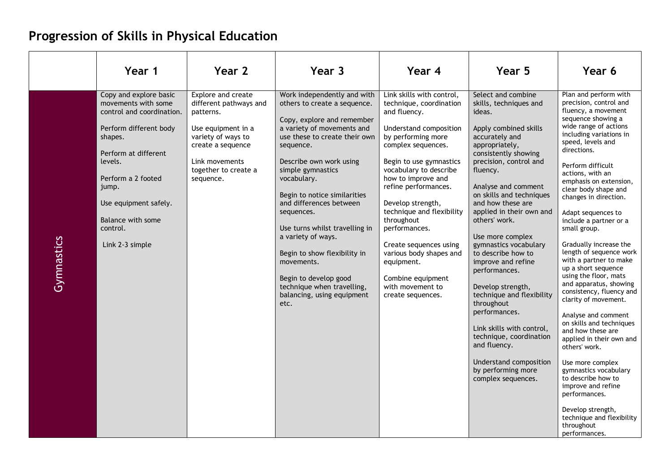## **Progression of Skills in Physical Education**

|            | Year 1                                                                                                                                                                                                                                                         | Year 2                                                                                                                                                                            | Year 3                                                                                                                                                                                                                                                                                                                                                                                                                                                                                                           | Year 4                                                                                                                                                                                                                                                                                                                                                                                                                                                          | Year 5                                                                                                                                                                                                                                                                                                                                                                                                                                                                                                                                                                                                                                          | Year 6                                                                                                                                                                                                                                                                                                                                                                                                                                                                                                                                                                                                                                                                                                                                                                                                                                                                                                |
|------------|----------------------------------------------------------------------------------------------------------------------------------------------------------------------------------------------------------------------------------------------------------------|-----------------------------------------------------------------------------------------------------------------------------------------------------------------------------------|------------------------------------------------------------------------------------------------------------------------------------------------------------------------------------------------------------------------------------------------------------------------------------------------------------------------------------------------------------------------------------------------------------------------------------------------------------------------------------------------------------------|-----------------------------------------------------------------------------------------------------------------------------------------------------------------------------------------------------------------------------------------------------------------------------------------------------------------------------------------------------------------------------------------------------------------------------------------------------------------|-------------------------------------------------------------------------------------------------------------------------------------------------------------------------------------------------------------------------------------------------------------------------------------------------------------------------------------------------------------------------------------------------------------------------------------------------------------------------------------------------------------------------------------------------------------------------------------------------------------------------------------------------|-------------------------------------------------------------------------------------------------------------------------------------------------------------------------------------------------------------------------------------------------------------------------------------------------------------------------------------------------------------------------------------------------------------------------------------------------------------------------------------------------------------------------------------------------------------------------------------------------------------------------------------------------------------------------------------------------------------------------------------------------------------------------------------------------------------------------------------------------------------------------------------------------------|
| Gymnastics | Copy and explore basic<br>movements with some<br>control and coordination.<br>Perform different body<br>shapes.<br>Perform at different<br>levels.<br>Perform a 2 footed<br>jump.<br>Use equipment safely.<br>Balance with some<br>control.<br>Link 2-3 simple | Explore and create<br>different pathways and<br>patterns.<br>Use equipment in a<br>variety of ways to<br>create a sequence<br>Link movements<br>together to create a<br>sequence. | Work independently and with<br>others to create a sequence.<br>Copy, explore and remember<br>a variety of movements and<br>use these to create their own<br>sequence.<br>Describe own work using<br>simple gymnastics<br>vocabulary.<br>Begin to notice similarities<br>and differences between<br>sequences.<br>Use turns whilst travelling in<br>a variety of ways.<br>Begin to show flexibility in<br>movements.<br>Begin to develop good<br>technique when travelling,<br>balancing, using equipment<br>etc. | Link skills with control,<br>technique, coordination<br>and fluency.<br>Understand composition<br>by performing more<br>complex sequences.<br>Begin to use gymnastics<br>vocabulary to describe<br>how to improve and<br>refine performances.<br>Develop strength,<br>technique and flexibility<br>throughout<br>performances.<br>Create sequences using<br>various body shapes and<br>equipment.<br>Combine equipment<br>with movement to<br>create sequences. | Select and combine<br>skills, techniques and<br>ideas.<br>Apply combined skills<br>accurately and<br>appropriately,<br>consistently showing<br>precision, control and<br>fluency.<br>Analyse and comment<br>on skills and techniques<br>and how these are<br>applied in their own and<br>others' work.<br>Use more complex<br>gymnastics vocabulary<br>to describe how to<br>improve and refine<br>performances.<br>Develop strength,<br>technique and flexibility<br>throughout<br>performances.<br>Link skills with control.<br>technique, coordination<br>and fluency.<br>Understand composition<br>by performing more<br>complex sequences. | Plan and perform with<br>precision, control and<br>fluency, a movement<br>sequence showing a<br>wide range of actions<br>including variations in<br>speed, levels and<br>directions.<br>Perform difficult<br>actions, with an<br>emphasis on extension,<br>clear body shape and<br>changes in direction.<br>Adapt sequences to<br>include a partner or a<br>small group.<br>Gradually increase the<br>length of sequence work<br>with a partner to make<br>up a short sequence<br>using the floor, mats<br>and apparatus, showing<br>consistency, fluency and<br>clarity of movement.<br>Analyse and comment<br>on skills and techniques<br>and how these are<br>applied in their own and<br>others' work.<br>Use more complex<br>gymnastics vocabulary<br>to describe how to<br>improve and refine<br>performances.<br>Develop strength,<br>technique and flexibility<br>throughout<br>performances. |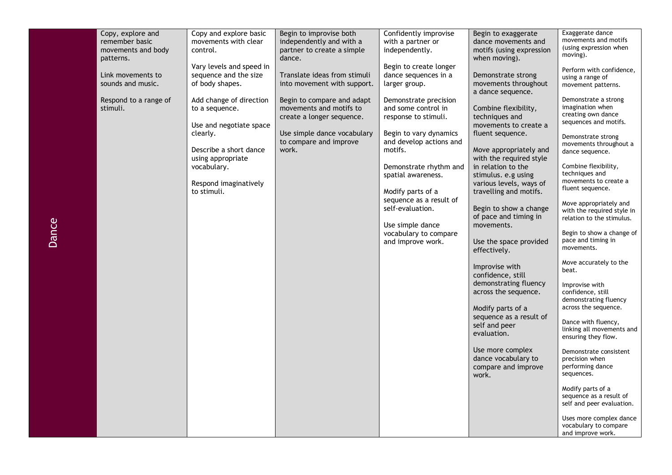| Copy, explore and<br>remember basic<br>movements and body<br>patterns. | Copy and explore basic<br>movements with clear<br>control.<br>Vary levels and speed in                                                                                                 | Begin to improvise both<br>independently and with a<br>partner to create a simple<br>dance.                                                          | Confidently improvise<br>with a partner or<br>independently.<br>Begin to create longer                                                                                                                                                                                                                                     | Begin to exaggerate<br>dance movements and<br>motifs (using expression<br>when moving).                                                                                                                                                                                                                                                                                                                                                                                                                                                                                                                  | Exaggerate dance<br>movements and motifs<br>(using expression when<br>moving).<br>Perform with confidence,                                                                                                                                                                                                                                                                                                                                                                                                                                                                                                                                                                                                                                                                                                                                        |
|------------------------------------------------------------------------|----------------------------------------------------------------------------------------------------------------------------------------------------------------------------------------|------------------------------------------------------------------------------------------------------------------------------------------------------|----------------------------------------------------------------------------------------------------------------------------------------------------------------------------------------------------------------------------------------------------------------------------------------------------------------------------|----------------------------------------------------------------------------------------------------------------------------------------------------------------------------------------------------------------------------------------------------------------------------------------------------------------------------------------------------------------------------------------------------------------------------------------------------------------------------------------------------------------------------------------------------------------------------------------------------------|---------------------------------------------------------------------------------------------------------------------------------------------------------------------------------------------------------------------------------------------------------------------------------------------------------------------------------------------------------------------------------------------------------------------------------------------------------------------------------------------------------------------------------------------------------------------------------------------------------------------------------------------------------------------------------------------------------------------------------------------------------------------------------------------------------------------------------------------------|
| Link movements to<br>sounds and music.                                 | sequence and the size<br>of body shapes.                                                                                                                                               | Translate ideas from stimuli<br>into movement with support.                                                                                          | dance sequences in a<br>larger group.                                                                                                                                                                                                                                                                                      | Demonstrate strong<br>movements throughout<br>a dance sequence.                                                                                                                                                                                                                                                                                                                                                                                                                                                                                                                                          | using a range of<br>movement patterns.                                                                                                                                                                                                                                                                                                                                                                                                                                                                                                                                                                                                                                                                                                                                                                                                            |
| Respond to a range of<br>stimuli.                                      | Add change of direction<br>to a sequence.<br>Use and negotiate space<br>clearly.<br>Describe a short dance<br>using appropriate<br>vocabulary.<br>Respond imaginatively<br>to stimuli. | Begin to compare and adapt<br>movements and motifs to<br>create a longer sequence.<br>Use simple dance vocabulary<br>to compare and improve<br>work. | Demonstrate precision<br>and some control in<br>response to stimuli.<br>Begin to vary dynamics<br>and develop actions and<br>motifs.<br>Demonstrate rhythm and<br>spatial awareness.<br>Modify parts of a<br>sequence as a result of<br>self-evaluation.<br>Use simple dance<br>vocabulary to compare<br>and improve work. | Combine flexibility,<br>techniques and<br>movements to create a<br>fluent sequence.<br>Move appropriately and<br>with the required style<br>in relation to the<br>stimulus. e.g using<br>various levels, ways of<br>travelling and motifs.<br>Begin to show a change<br>of pace and timing in<br>movements.<br>Use the space provided<br>effectively.<br>Improvise with<br>confidence, still<br>demonstrating fluency<br>across the sequence.<br>Modify parts of a<br>sequence as a result of<br>self and peer<br>evaluation.<br>Use more complex<br>dance vocabulary to<br>compare and improve<br>work. | Demonstrate a strong<br>imagination when<br>creating own dance<br>sequences and motifs.<br>Demonstrate strong<br>movements throughout a<br>dance sequence.<br>Combine flexibility,<br>techniques and<br>movements to create a<br>fluent sequence.<br>Move appropriately and<br>with the required style in<br>relation to the stimulus.<br>Begin to show a change of<br>pace and timing in<br>movements.<br>Move accurately to the<br>beat.<br>Improvise with<br>confidence, still<br>demonstrating fluency<br>across the sequence.<br>Dance with fluency,<br>linking all movements and<br>ensuring they flow.<br>Demonstrate consistent<br>precision when<br>performing dance<br>sequences.<br>Modify parts of a<br>sequence as a result of<br>self and peer evaluation.<br>Uses more complex dance<br>vocabulary to compare<br>and improve work. |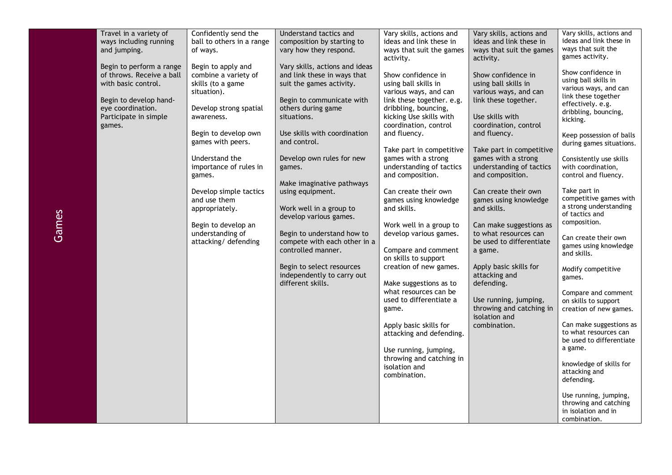| Travel in a variety of                     | Confidently send the                    | Understand tactics and            | Vary skills, actions and                          | Vary skills, actions and                         | Vary skills, actions and                             |
|--------------------------------------------|-----------------------------------------|-----------------------------------|---------------------------------------------------|--------------------------------------------------|------------------------------------------------------|
| ways including running                     | ball to others in a range               | composition by starting to        | ideas and link these in                           | ideas and link these in                          | ideas and link these in                              |
| and jumping.                               | of ways.                                | vary how they respond.            | ways that suit the games                          | ways that suit the games                         | ways that suit the                                   |
|                                            |                                         |                                   | activity.                                         | activity.                                        | games activity.                                      |
| Begin to perform a range                   | Begin to apply and                      | Vary skills, actions and ideas    |                                                   |                                                  | Show confidence in                                   |
| of throws. Receive a ball                  | combine a variety of                    | and link these in ways that       | Show confidence in                                | Show confidence in                               | using ball skills in                                 |
| with basic control.                        | skills (to a game                       | suit the games activity.          | using ball skills in                              | using ball skills in                             | various ways, and can                                |
|                                            | situation).                             |                                   | various ways, and can                             | various ways, and can                            | link these together                                  |
| Begin to develop hand-                     |                                         | Begin to communicate with         | link these together. e.g.                         | link these together.                             | effectively. e.g.                                    |
| eye coordination.<br>Participate in simple | Develop strong spatial<br>awareness.    | others during game<br>situations. | dribbling, bouncing,<br>kicking Use skills with   | Use skills with                                  | dribbling, bouncing,                                 |
| games.                                     |                                         |                                   | coordination, control                             | coordination, control                            | kicking.                                             |
|                                            | Begin to develop own                    | Use skills with coordination      | and fluency.                                      | and fluency.                                     |                                                      |
|                                            | games with peers.                       | and control.                      |                                                   |                                                  | Keep possession of balls<br>during games situations. |
|                                            |                                         |                                   | Take part in competitive                          | Take part in competitive                         |                                                      |
|                                            | Understand the                          | Develop own rules for new         | games with a strong                               | games with a strong                              | Consistently use skills                              |
|                                            | importance of rules in                  | games.                            | understanding of tactics                          | understanding of tactics                         | with coordination,                                   |
|                                            | games.                                  |                                   | and composition.                                  | and composition.                                 | control and fluency.                                 |
|                                            |                                         | Make imaginative pathways         |                                                   |                                                  |                                                      |
|                                            | Develop simple tactics                  | using equipment.                  | Can create their own                              | Can create their own                             | Take part in                                         |
|                                            | and use them                            |                                   | games using knowledge                             | games using knowledge                            | competitive games with<br>a strong understanding     |
|                                            | appropriately.                          | Work well in a group to           | and skills.                                       | and skills.                                      | of tactics and                                       |
|                                            |                                         | develop various games.            |                                                   |                                                  | composition.                                         |
|                                            | Begin to develop an<br>understanding of | Begin to understand how to        | Work well in a group to<br>develop various games. | Can make suggestions as<br>to what resources can |                                                      |
|                                            | attacking/ defending                    | compete with each other in a      |                                                   | be used to differentiate                         | Can create their own                                 |
|                                            |                                         | controlled manner.                | Compare and comment                               | a game.                                          | games using knowledge                                |
|                                            |                                         |                                   | on skills to support                              |                                                  | and skills.                                          |
|                                            |                                         | Begin to select resources         | creation of new games.                            | Apply basic skills for                           | Modify competitive                                   |
|                                            |                                         | independently to carry out        |                                                   | attacking and                                    | games.                                               |
|                                            |                                         | different skills.                 | Make suggestions as to                            | defending.                                       |                                                      |
|                                            |                                         |                                   | what resources can be                             |                                                  | Compare and comment                                  |
|                                            |                                         |                                   | used to differentiate a                           | Use running, jumping,                            | on skills to support                                 |
|                                            |                                         |                                   | game.                                             | throwing and catching in                         | creation of new games.                               |
|                                            |                                         |                                   |                                                   | isolation and                                    |                                                      |
|                                            |                                         |                                   | Apply basic skills for                            | combination.                                     | Can make suggestions as<br>to what resources can     |
|                                            |                                         |                                   | attacking and defending.                          |                                                  | be used to differentiate                             |
|                                            |                                         |                                   |                                                   |                                                  | a game.                                              |
|                                            |                                         |                                   | Use running, jumping,<br>throwing and catching in |                                                  |                                                      |
|                                            |                                         |                                   | isolation and                                     |                                                  | knowledge of skills for                              |
|                                            |                                         |                                   | combination.                                      |                                                  | attacking and                                        |
|                                            |                                         |                                   |                                                   |                                                  | defending.                                           |
|                                            |                                         |                                   |                                                   |                                                  |                                                      |
|                                            |                                         |                                   |                                                   |                                                  | Use running, jumping,<br>throwing and catching       |
|                                            |                                         |                                   |                                                   |                                                  | in isolation and in                                  |
|                                            |                                         |                                   |                                                   |                                                  | combination.                                         |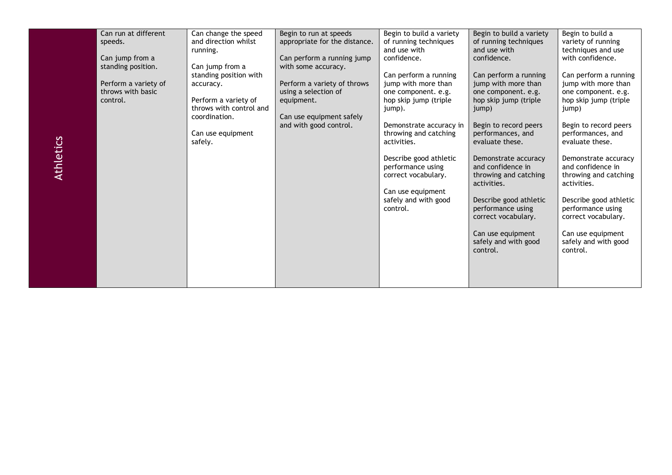| Can run at different<br>speeds.<br>Can jump from a<br>standing position. | Can change the speed<br>and direction whilst<br>running.<br>Can jump from a                                                             | Begin to run at speeds<br>appropriate for the distance.<br>Can perform a running jump<br>with some accuracy.            | Begin to build a variety<br>of running techniques<br>and use with<br>confidence.                                                                                          | Begin to build a variety<br>of running techniques<br>and use with<br>confidence.                                                                                                                                 | Begin to build a<br>variety of running<br>techniques and use<br>with confidence.                                                                                                                                 |
|--------------------------------------------------------------------------|-----------------------------------------------------------------------------------------------------------------------------------------|-------------------------------------------------------------------------------------------------------------------------|---------------------------------------------------------------------------------------------------------------------------------------------------------------------------|------------------------------------------------------------------------------------------------------------------------------------------------------------------------------------------------------------------|------------------------------------------------------------------------------------------------------------------------------------------------------------------------------------------------------------------|
| Perform a variety of<br>throws with basic<br>control.                    | standing position with<br>accuracy.<br>Perform a variety of<br>throws with control and<br>coordination.<br>Can use equipment<br>safely. | Perform a variety of throws<br>using a selection of<br>equipment.<br>Can use equipment safely<br>and with good control. | Can perform a running<br>jump with more than<br>one component. e.g.<br>hop skip jump (triple<br>jump).<br>Demonstrate accuracy in<br>throwing and catching<br>activities. | Can perform a running<br>jump with more than<br>one component. e.g.<br>hop skip jump (triple<br>jump)<br>Begin to record peers<br>performances, and<br>evaluate these.                                           | Can perform a running<br>jump with more than<br>one component. e.g.<br>hop skip jump (triple<br>jump)<br>Begin to record peers<br>performances, and<br>evaluate these.                                           |
|                                                                          |                                                                                                                                         |                                                                                                                         | Describe good athletic<br>performance using<br>correct vocabulary.<br>Can use equipment<br>safely and with good<br>control.                                               | Demonstrate accuracy<br>and confidence in<br>throwing and catching<br>activities.<br>Describe good athletic<br>performance using<br>correct vocabulary.<br>Can use equipment<br>safely and with good<br>control. | Demonstrate accuracy<br>and confidence in<br>throwing and catching<br>activities.<br>Describe good athletic<br>performance using<br>correct vocabulary.<br>Can use equipment<br>safely and with good<br>control. |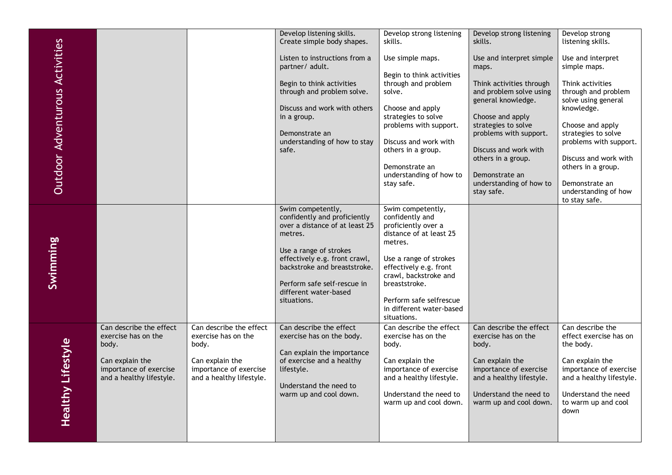| <b>Healthy Lifestyle</b>       | Can describe the effect<br>exercise has on the<br>body.<br>Can explain the<br>importance of exercise<br>and a healthy lifestyle. | Can describe the effect<br>exercise has on the<br>body.<br>Can explain the<br>importance of exercise<br>and a healthy lifestyle. | situations.<br>Can describe the effect<br>exercise has on the body.<br>Can explain the importance<br>of exercise and a healthy<br>lifestyle.<br>Understand the need to<br>warm up and cool down.                                                                                 | Perform safe selfrescue<br>in different water-based<br>situations.<br>Can describe the effect<br>exercise has on the<br>body.<br>Can explain the<br>importance of exercise<br>and a healthy lifestyle.<br>Understand the need to<br>warm up and cool down.                                           | Can describe the effect<br>exercise has on the<br>body.<br>Can explain the<br>importance of exercise<br>and a healthy lifestyle.<br>Understand the need to<br>warm up and cool down.                                                                                                                                                 | Can describe the<br>effect exercise has on<br>the body.<br>Can explain the<br>importance of exercise<br>and a healthy lifestyle.<br>Understand the need<br>to warm up and cool<br>down                                                                                                                                                  |
|--------------------------------|----------------------------------------------------------------------------------------------------------------------------------|----------------------------------------------------------------------------------------------------------------------------------|----------------------------------------------------------------------------------------------------------------------------------------------------------------------------------------------------------------------------------------------------------------------------------|------------------------------------------------------------------------------------------------------------------------------------------------------------------------------------------------------------------------------------------------------------------------------------------------------|--------------------------------------------------------------------------------------------------------------------------------------------------------------------------------------------------------------------------------------------------------------------------------------------------------------------------------------|-----------------------------------------------------------------------------------------------------------------------------------------------------------------------------------------------------------------------------------------------------------------------------------------------------------------------------------------|
| <b>Swimming</b>                |                                                                                                                                  |                                                                                                                                  | Swim competently,<br>confidently and proficiently<br>over a distance of at least 25<br>metres.<br>Use a range of strokes<br>effectively e.g. front crawl,<br>backstroke and breaststroke.<br>Perform safe self-rescue in<br>different water-based                                | Swim competently,<br>confidently and<br>proficiently over a<br>distance of at least 25<br>metres.<br>Use a range of strokes<br>effectively e.g. front<br>crawl, backstroke and<br>breaststroke.                                                                                                      |                                                                                                                                                                                                                                                                                                                                      |                                                                                                                                                                                                                                                                                                                                         |
| Outdoor Adventurous Activities |                                                                                                                                  |                                                                                                                                  | Develop listening skills.<br>Create simple body shapes.<br>Listen to instructions from a<br>partner/ adult.<br>Begin to think activities<br>through and problem solve.<br>Discuss and work with others<br>in a group.<br>Demonstrate an<br>understanding of how to stay<br>safe. | Develop strong listening<br>skills.<br>Use simple maps.<br>Begin to think activities<br>through and problem<br>solve.<br>Choose and apply<br>strategies to solve<br>problems with support.<br>Discuss and work with<br>others in a group.<br>Demonstrate an<br>understanding of how to<br>stay safe. | Develop strong listening<br>skills.<br>Use and interpret simple<br>maps.<br>Think activities through<br>and problem solve using<br>general knowledge.<br>Choose and apply<br>strategies to solve<br>problems with support.<br>Discuss and work with<br>others in a group.<br>Demonstrate an<br>understanding of how to<br>stay safe. | Develop strong<br>listening skills.<br>Use and interpret<br>simple maps.<br>Think activities<br>through and problem<br>solve using general<br>knowledge.<br>Choose and apply<br>strategies to solve<br>problems with support.<br>Discuss and work with<br>others in a group.<br>Demonstrate an<br>understanding of how<br>to stay safe. |